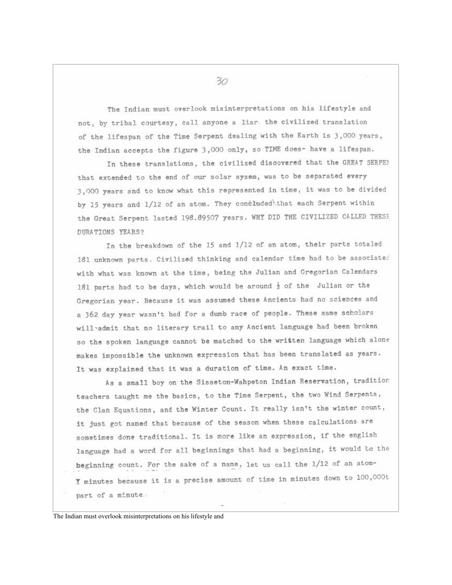The Indian must overlook misinterpretations on his lifestyle and not, by tribal courtesy, call anyone a liar, the civilized translation of the lifespan of the Time Serpent dealing with the Earth is 3,000 years, the Indian accepts the figure 3,000 only, so TIME does- have a lifespan.

In these translations, the civilized discovered that the GREAT SERPEN that extended to the end of our solar sysem, was to be separated every 3,000 years and to know what this represented in time, it was to be divided by 15 years and 1/12 of an atom. They concluded that each Serpent within the Great Serpent lasted 198.89507 years. WHY DID THE CIVILIZED CALLED THESE DURATIONS YEARS?

In the breakdown of the 15 and 1/12 of an atom, their parts totaled 181 unknown parts. Civilized thinking and calendar time had to be associated with what was known at the time, being the Julian and Gregorian Calendars 181 parts had to be days, which would be around  $\frac{1}{2}$  of the Julian or the Gregorian year. Because it was assumed these Ancients had no sciences and a 362 day year wasn't bad for a dumb race of people. These same scholars will admit that no literary trail to any Ancient language had been broken so the spoken language cannot be matched to the written language which alone makes impossible the unknown expression that has been translated as years. It was explained that it was a duration of time. An exact time.

As a small boy on the Sisseton-Wahpeton Indian Reservation, tradition teachers taught me the basics, to the Time Serpent, the two Wind Serpents, the Clan Equations, and the Winter Count. It really isn't the winter count, it just got named that because of the season when these calculations are sometimes done traditional. It is more like an expression, if the english language had a word for all beginnings that had a beginning, it would be the heginning count. For the sake of a name, let us call the 1/12 of an atom-I minutes because it is a precise amount of time in minutes down to 100,000t part of a minute.

The Indian must overlook misinterpretations on his lifestyle and

 $30<sup>°</sup>$